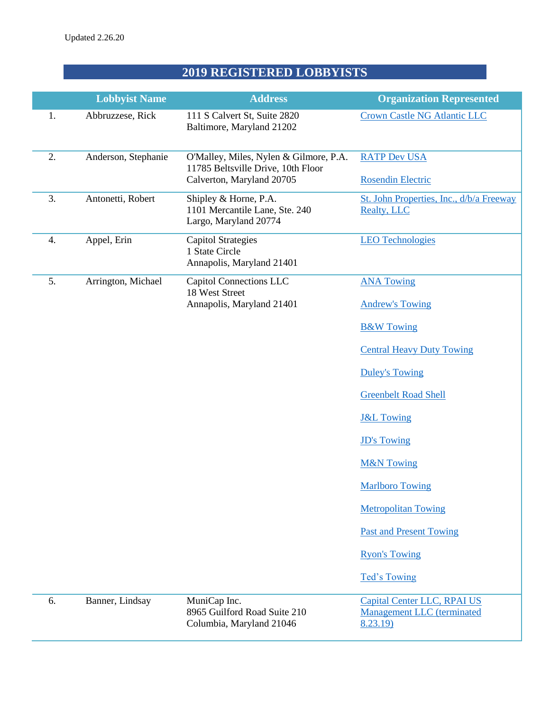## **2019 REGISTERED LOBBYISTS**

|    | <b>Lobbyist Name</b> | <b>Address</b>                                                                                            | <b>Organization Represented</b>                                              |
|----|----------------------|-----------------------------------------------------------------------------------------------------------|------------------------------------------------------------------------------|
| 1. | Abbruzzese, Rick     | 111 S Calvert St, Suite 2820<br>Baltimore, Maryland 21202                                                 | <b>Crown Castle NG Atlantic LLC</b>                                          |
| 2. | Anderson, Stephanie  | O'Malley, Miles, Nylen & Gilmore, P.A.<br>11785 Beltsville Drive, 10th Floor<br>Calverton, Maryland 20705 | <b>RATP Dev USA</b><br><b>Rosendin Electric</b>                              |
| 3. | Antonetti, Robert    | Shipley & Horne, P.A.<br>1101 Mercantile Lane, Ste. 240<br>Largo, Maryland 20774                          | St. John Properties, Inc., d/b/a Freeway<br><b>Realty, LLC</b>               |
| 4. | Appel, Erin          | <b>Capitol Strategies</b><br>1 State Circle<br>Annapolis, Maryland 21401                                  | <b>LEO Technologies</b>                                                      |
| 5. | Arrington, Michael   | Capitol Connections LLC<br>18 West Street                                                                 | <b>ANA Towing</b>                                                            |
|    |                      | Annapolis, Maryland 21401                                                                                 | <b>Andrew's Towing</b>                                                       |
|    |                      |                                                                                                           | <b>B&amp;W Towing</b>                                                        |
|    |                      |                                                                                                           | <b>Central Heavy Duty Towing</b>                                             |
|    |                      |                                                                                                           | <b>Duley's Towing</b>                                                        |
|    |                      |                                                                                                           | <b>Greenbelt Road Shell</b>                                                  |
|    |                      |                                                                                                           | <b>J&amp;L Towing</b>                                                        |
|    |                      |                                                                                                           | <b>JD's Towing</b>                                                           |
|    |                      |                                                                                                           | <b>M&amp;N Towing</b>                                                        |
|    |                      |                                                                                                           | <b>Marlboro Towing</b>                                                       |
|    |                      |                                                                                                           | <b>Metropolitan Towing</b>                                                   |
|    |                      |                                                                                                           | <b>Past and Present Towing</b>                                               |
|    |                      |                                                                                                           | <b>Ryon's Towing</b>                                                         |
|    |                      |                                                                                                           | Ted's Towing                                                                 |
| 6. | Banner, Lindsay      | MuniCap Inc.<br>8965 Guilford Road Suite 210<br>Columbia, Maryland 21046                                  | Capital Center LLC, RPAI US<br><b>Management LLC</b> (terminated<br>8.23.19) |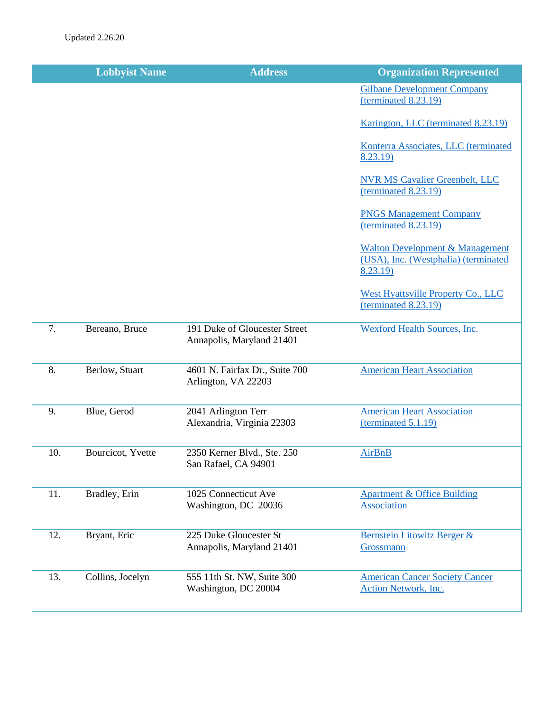|     | <b>Lobbyist Name</b> | <b>Address</b>                                             | <b>Organization Represented</b>                                                                |
|-----|----------------------|------------------------------------------------------------|------------------------------------------------------------------------------------------------|
|     |                      |                                                            | <b>Gilbane Development Company</b><br>(terminal 8.23.19)                                       |
|     |                      |                                                            | Karington, LLC (terminated 8.23.19)                                                            |
|     |                      |                                                            | Konterra Associates, LLC (terminated<br>8.23.19)                                               |
|     |                      |                                                            | <b>NVR MS Cavalier Greenbelt, LLC</b><br>(terminal 8.23.19)                                    |
|     |                      |                                                            | <b>PNGS Management Company</b><br>(terminal 8.23.19)                                           |
|     |                      |                                                            | <b>Walton Development &amp; Management</b><br>(USA), Inc. (Westphalia) (terminated<br>8.23.19) |
|     |                      |                                                            | <b>West Hyattsville Property Co., LLC</b><br>(terminal 8.23.19)                                |
| 7.  | Bereano, Bruce       | 191 Duke of Gloucester Street<br>Annapolis, Maryland 21401 | <b>Wexford Health Sources, Inc.</b>                                                            |
| 8.  | Berlow, Stuart       | 4601 N. Fairfax Dr., Suite 700<br>Arlington, VA 22203      | <b>American Heart Association</b>                                                              |
| 9.  | Blue, Gerod          | 2041 Arlington Terr<br>Alexandria, Virginia 22303          | <b>American Heart Association</b><br>(terminal 5.1.19)                                         |
| 10. | Bourcicot, Yvette    | 2350 Kerner Blvd., Ste. 250<br>San Rafael, CA 94901        | <b>AirBnB</b>                                                                                  |
| 11. | Bradley, Erin        | 1025 Connecticut Ave<br>Washington, DC 20036               | <b>Apartment &amp; Office Building</b><br><b>Association</b>                                   |
| 12. | Bryant, Eric         | 225 Duke Gloucester St<br>Annapolis, Maryland 21401        | Bernstein Litowitz Berger &<br>Grossmann                                                       |
| 13. | Collins, Jocelyn     | 555 11th St. NW, Suite 300<br>Washington, DC 20004         | <b>American Cancer Society Cancer</b><br><b>Action Network, Inc.</b>                           |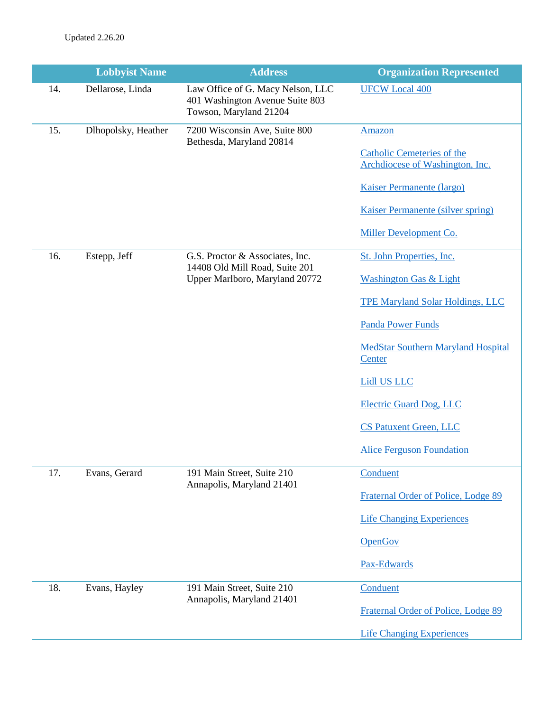|     | <b>Lobbyist Name</b> | <b>Address</b>                                                                                 | <b>Organization Represented</b>                                      |
|-----|----------------------|------------------------------------------------------------------------------------------------|----------------------------------------------------------------------|
| 14. | Dellarose, Linda     | Law Office of G. Macy Nelson, LLC<br>401 Washington Avenue Suite 803<br>Towson, Maryland 21204 | <b>UFCW Local 400</b>                                                |
| 15. | Dlhopolsky, Heather  | 7200 Wisconsin Ave, Suite 800<br>Bethesda, Maryland 20814                                      | Amazon                                                               |
|     |                      |                                                                                                | <b>Catholic Cemeteries of the</b><br>Archdiocese of Washington, Inc. |
|     |                      |                                                                                                | <b>Kaiser Permanente (largo)</b>                                     |
|     |                      |                                                                                                | Kaiser Permanente (silver spring)                                    |
|     |                      |                                                                                                | Miller Development Co.                                               |
| 16. | Estepp, Jeff         | G.S. Proctor & Associates, Inc.<br>14408 Old Mill Road, Suite 201                              | St. John Properties, Inc.                                            |
|     |                      | Upper Marlboro, Maryland 20772                                                                 | <b>Washington Gas &amp; Light</b>                                    |
|     |                      |                                                                                                | <b>TPE Maryland Solar Holdings, LLC</b>                              |
|     |                      |                                                                                                | <b>Panda Power Funds</b>                                             |
|     |                      |                                                                                                | <b>MedStar Southern Maryland Hospital</b><br>Center                  |
|     |                      |                                                                                                | <b>Lidl US LLC</b>                                                   |
|     |                      |                                                                                                | <b>Electric Guard Dog, LLC</b>                                       |
|     |                      |                                                                                                | <b>CS Patuxent Green, LLC</b>                                        |
|     |                      |                                                                                                | <b>Alice Ferguson Foundation</b>                                     |
| 17. | Evans, Gerard        | 191 Main Street, Suite 210<br>Annapolis, Maryland 21401                                        | Conduent                                                             |
|     |                      |                                                                                                | Fraternal Order of Police, Lodge 89                                  |
|     |                      |                                                                                                | <b>Life Changing Experiences</b>                                     |
|     |                      |                                                                                                | <b>OpenGov</b>                                                       |
|     |                      |                                                                                                | Pax-Edwards                                                          |
| 18. | Evans, Hayley        | 191 Main Street, Suite 210<br>Annapolis, Maryland 21401                                        | Conduent                                                             |
|     |                      |                                                                                                | Fraternal Order of Police, Lodge 89                                  |
|     |                      |                                                                                                | <b>Life Changing Experiences</b>                                     |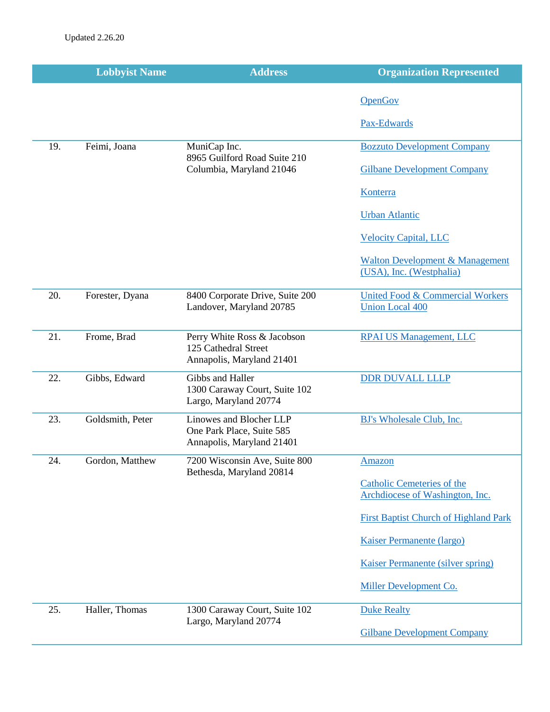|     | <b>Lobbyist Name</b> | <b>Address</b>                                                                    | <b>Organization Represented</b>                                        |
|-----|----------------------|-----------------------------------------------------------------------------------|------------------------------------------------------------------------|
|     |                      |                                                                                   | <b>OpenGov</b>                                                         |
|     |                      |                                                                                   | Pax-Edwards                                                            |
| 19. | Feimi, Joana         | MuniCap Inc.                                                                      | <b>Bozzuto Development Company</b>                                     |
|     |                      | 8965 Guilford Road Suite 210<br>Columbia, Maryland 21046                          | <b>Gilbane Development Company</b>                                     |
|     |                      |                                                                                   | Konterra                                                               |
|     |                      |                                                                                   | <b>Urban Atlantic</b>                                                  |
|     |                      |                                                                                   | <b>Velocity Capital, LLC</b>                                           |
|     |                      |                                                                                   | <b>Walton Development &amp; Management</b><br>(USA), Inc. (Westphalia) |
| 20. | Forester, Dyana      | 8400 Corporate Drive, Suite 200<br>Landover, Maryland 20785                       | <b>United Food &amp; Commercial Workers</b><br><b>Union Local 400</b>  |
| 21. | Frome, Brad          | Perry White Ross & Jacobson<br>125 Cathedral Street<br>Annapolis, Maryland 21401  | <b>RPAI US Management, LLC</b>                                         |
| 22. | Gibbs, Edward        | Gibbs and Haller<br>1300 Caraway Court, Suite 102<br>Largo, Maryland 20774        | <b>DDR DUVALL LLLP</b>                                                 |
| 23. | Goldsmith, Peter     | Linowes and Blocher LLP<br>One Park Place, Suite 585<br>Annapolis, Maryland 21401 | BJ's Wholesale Club, Inc.                                              |
| 24. | Gordon, Matthew      | 7200 Wisconsin Ave, Suite 800<br>Bethesda, Maryland 20814                         | <u>Amazon</u>                                                          |
|     |                      |                                                                                   | <b>Catholic Cemeteries of the</b><br>Archdiocese of Washington, Inc.   |
|     |                      |                                                                                   | <b>First Baptist Church of Highland Park</b>                           |
|     |                      |                                                                                   | <b>Kaiser Permanente (largo)</b>                                       |
|     |                      |                                                                                   | <b>Kaiser Permanente (silver spring)</b>                               |
|     |                      |                                                                                   | Miller Development Co.                                                 |
| 25. | Haller, Thomas       | 1300 Caraway Court, Suite 102<br>Largo, Maryland 20774                            | <b>Duke Realty</b>                                                     |
|     |                      |                                                                                   | <b>Gilbane Development Company</b>                                     |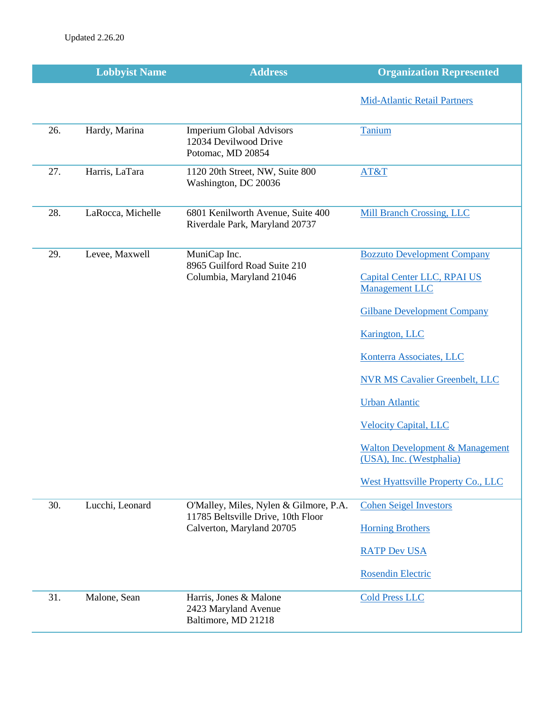|     | <b>Lobbyist Name</b> | <b>Address</b>                                                                | <b>Organization Represented</b>                                        |
|-----|----------------------|-------------------------------------------------------------------------------|------------------------------------------------------------------------|
|     |                      |                                                                               | <b>Mid-Atlantic Retail Partners</b>                                    |
| 26. | Hardy, Marina        | <b>Imperium Global Advisors</b><br>12034 Devilwood Drive<br>Potomac, MD 20854 | Tanium                                                                 |
| 27. | Harris, LaTara       | 1120 20th Street, NW, Suite 800<br>Washington, DC 20036                       | AT&T                                                                   |
| 28. | LaRocca, Michelle    | 6801 Kenilworth Avenue, Suite 400<br>Riverdale Park, Maryland 20737           | <b>Mill Branch Crossing, LLC</b>                                       |
| 29. | Levee, Maxwell       | MuniCap Inc.                                                                  | <b>Bozzuto Development Company</b>                                     |
|     |                      | 8965 Guilford Road Suite 210<br>Columbia, Maryland 21046                      | Capital Center LLC, RPAI US<br><b>Management LLC</b>                   |
|     |                      |                                                                               | <b>Gilbane Development Company</b>                                     |
|     |                      |                                                                               | Karington, LLC                                                         |
|     |                      |                                                                               | Konterra Associates, LLC                                               |
|     |                      |                                                                               | <b>NVR MS Cavalier Greenbelt, LLC</b>                                  |
|     |                      |                                                                               | <b>Urban Atlantic</b>                                                  |
|     |                      |                                                                               | <b>Velocity Capital, LLC</b>                                           |
|     |                      |                                                                               | <b>Walton Development &amp; Management</b><br>(USA), Inc. (Westphalia) |
|     |                      |                                                                               | <b>West Hyattsville Property Co., LLC</b>                              |
| 30. | Lucchi, Leonard      | O'Malley, Miles, Nylen & Gilmore, P.A.<br>11785 Beltsville Drive, 10th Floor  | <b>Cohen Seigel Investors</b>                                          |
|     |                      | Calverton, Maryland 20705                                                     | <b>Horning Brothers</b>                                                |
|     |                      |                                                                               | <b>RATP Dev USA</b>                                                    |
|     |                      |                                                                               | <b>Rosendin Electric</b>                                               |
| 31. | Malone, Sean         | Harris, Jones & Malone<br>2423 Maryland Avenue<br>Baltimore, MD 21218         | <b>Cold Press LLC</b>                                                  |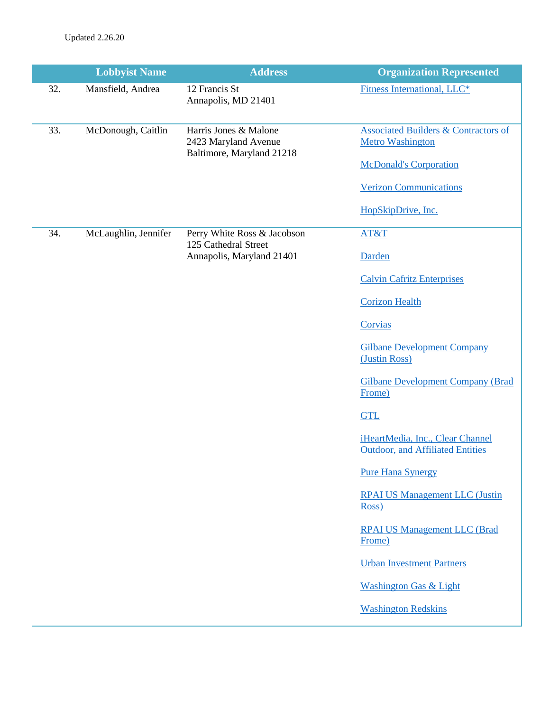|     | <b>Lobbyist Name</b> | <b>Address</b>                                                             | <b>Organization Represented</b>                                             |
|-----|----------------------|----------------------------------------------------------------------------|-----------------------------------------------------------------------------|
| 32. | Mansfield, Andrea    | 12 Francis St<br>Annapolis, MD 21401                                       | Fitness International, LLC*                                                 |
| 33. | McDonough, Caitlin   | Harris Jones & Malone<br>2423 Maryland Avenue<br>Baltimore, Maryland 21218 | <b>Associated Builders &amp; Contractors of</b><br><b>Metro Washington</b>  |
|     |                      |                                                                            | <b>McDonald's Corporation</b>                                               |
|     |                      |                                                                            | <b>Verizon Communications</b>                                               |
|     |                      |                                                                            | HopSkipDrive, Inc.                                                          |
| 34. | McLaughlin, Jennifer | Perry White Ross & Jacobson<br>125 Cathedral Street                        | AT&T                                                                        |
|     |                      | Annapolis, Maryland 21401                                                  | Darden                                                                      |
|     |                      |                                                                            | <b>Calvin Cafritz Enterprises</b>                                           |
|     |                      |                                                                            | <b>Corizon Health</b>                                                       |
|     |                      |                                                                            | Corvias                                                                     |
|     |                      |                                                                            | <b>Gilbane Development Company</b><br>(Justin Ross)                         |
|     |                      |                                                                            | <b>Gilbane Development Company (Brad</b><br>Frome)                          |
|     |                      |                                                                            | <b>GTL</b>                                                                  |
|     |                      |                                                                            | iHeartMedia, Inc., Clear Channel<br><b>Outdoor, and Affiliated Entities</b> |
|     |                      |                                                                            | <b>Pure Hana Synergy</b>                                                    |
|     |                      |                                                                            | <b>RPAI US Management LLC (Justin</b><br>Ross)                              |
|     |                      |                                                                            | <b>RPAI US Management LLC (Brad</b><br>Frome)                               |
|     |                      |                                                                            | <b>Urban Investment Partners</b>                                            |
|     |                      |                                                                            | <b>Washington Gas &amp; Light</b>                                           |
|     |                      |                                                                            | <b>Washington Redskins</b>                                                  |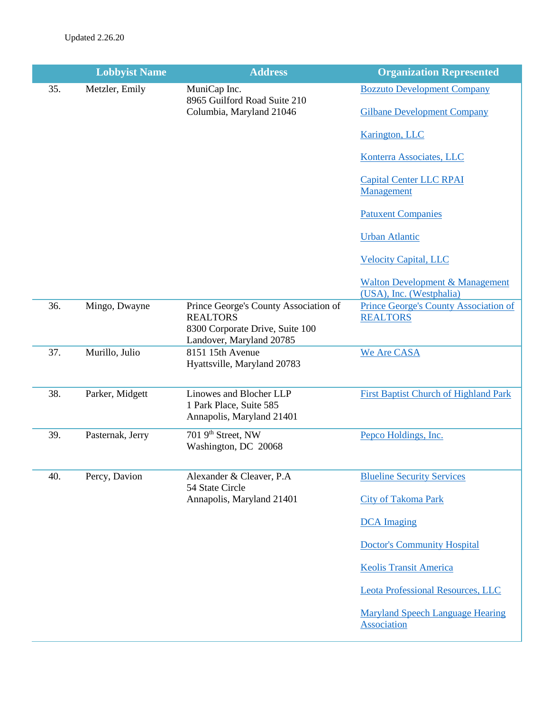|     | <b>Lobbyist Name</b> | <b>Address</b>                                                                                                          | <b>Organization Represented</b>                                        |
|-----|----------------------|-------------------------------------------------------------------------------------------------------------------------|------------------------------------------------------------------------|
| 35. | Metzler, Emily       | MuniCap Inc.<br>8965 Guilford Road Suite 210                                                                            | <b>Bozzuto Development Company</b>                                     |
|     |                      | Columbia, Maryland 21046                                                                                                | <b>Gilbane Development Company</b>                                     |
|     |                      |                                                                                                                         | Karington, LLC                                                         |
|     |                      |                                                                                                                         | Konterra Associates, LLC                                               |
|     |                      |                                                                                                                         | <b>Capital Center LLC RPAI</b><br>Management                           |
|     |                      |                                                                                                                         | <b>Patuxent Companies</b>                                              |
|     |                      |                                                                                                                         | <b>Urban Atlantic</b>                                                  |
|     |                      |                                                                                                                         | <b>Velocity Capital, LLC</b>                                           |
|     |                      |                                                                                                                         | <b>Walton Development &amp; Management</b><br>(USA), Inc. (Westphalia) |
| 36. | Mingo, Dwayne        | Prince George's County Association of<br><b>REALTORS</b><br>8300 Corporate Drive, Suite 100<br>Landover, Maryland 20785 | <b>Prince George's County Association of</b><br><b>REALTORS</b>        |
| 37. | Murillo, Julio       | 8151 15th Avenue<br>Hyattsville, Maryland 20783                                                                         | We Are CASA                                                            |
| 38. | Parker, Midgett      | Linowes and Blocher LLP<br>1 Park Place, Suite 585<br>Annapolis, Maryland 21401                                         | <b>First Baptist Church of Highland Park</b>                           |
| 39. | Pasternak, Jerry     | 701 9 <sup>th</sup> Street, NW<br>Washington, DC 20068                                                                  | Pepco Holdings, Inc.                                                   |
| 40. | Percy, Davion        | Alexander & Cleaver, P.A<br>54 State Circle                                                                             | <b>Blueline Security Services</b>                                      |
|     |                      | Annapolis, Maryland 21401                                                                                               | City of Takoma Park                                                    |
|     |                      |                                                                                                                         | <b>DCA</b> Imaging                                                     |
|     |                      |                                                                                                                         | <b>Doctor's Community Hospital</b>                                     |
|     |                      |                                                                                                                         | <b>Keolis Transit America</b>                                          |
|     |                      |                                                                                                                         | <b>Leota Professional Resources, LLC</b>                               |
|     |                      |                                                                                                                         | <b>Maryland Speech Language Hearing</b><br>Association                 |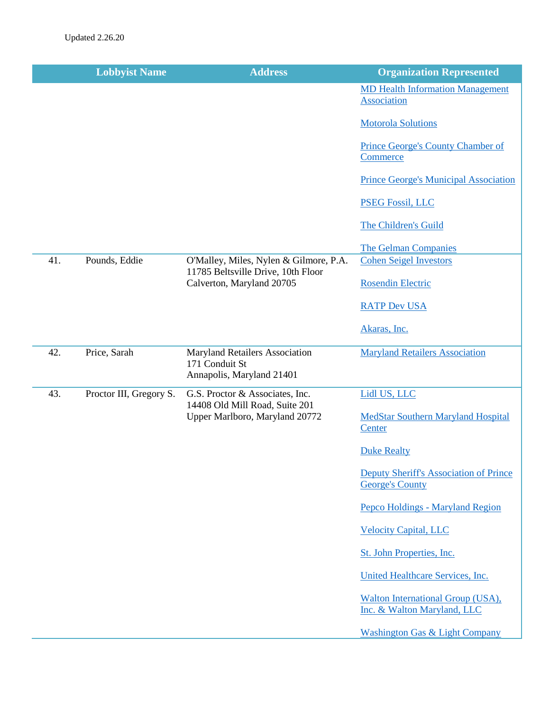|     | <b>Lobbyist Name</b>    | <b>Address</b>                                                                       | <b>Organization Represented</b>                                  |
|-----|-------------------------|--------------------------------------------------------------------------------------|------------------------------------------------------------------|
|     |                         |                                                                                      | <b>MD Health Information Management</b><br>Association           |
|     |                         |                                                                                      | <b>Motorola Solutions</b>                                        |
|     |                         |                                                                                      | <b>Prince George's County Chamber of</b><br>Commerce             |
|     |                         |                                                                                      | <b>Prince George's Municipal Association</b>                     |
|     |                         |                                                                                      | <b>PSEG Fossil, LLC</b>                                          |
|     |                         |                                                                                      | The Children's Guild                                             |
|     |                         |                                                                                      | <b>The Gelman Companies</b>                                      |
| 41. | Pounds, Eddie           | O'Malley, Miles, Nylen & Gilmore, P.A.<br>11785 Beltsville Drive, 10th Floor         | <b>Cohen Seigel Investors</b>                                    |
|     |                         | Calverton, Maryland 20705                                                            | <b>Rosendin Electric</b>                                         |
|     |                         |                                                                                      | <b>RATP Dev USA</b>                                              |
|     |                         |                                                                                      | Akaras, Inc.                                                     |
| 42. | Price, Sarah            | <b>Maryland Retailers Association</b><br>171 Conduit St<br>Annapolis, Maryland 21401 | <b>Maryland Retailers Association</b>                            |
| 43. | Proctor III, Gregory S. | G.S. Proctor & Associates, Inc.<br>14408 Old Mill Road, Suite 201                    | Lidl US, LLC                                                     |
|     |                         | Upper Marlboro, Maryland 20772                                                       | <b>MedStar Southern Maryland Hospital</b><br>Center              |
|     |                         |                                                                                      | <b>Duke Realty</b>                                               |
|     |                         |                                                                                      | Deputy Sheriff's Association of Prince<br><b>George's County</b> |
|     |                         |                                                                                      | Pepco Holdings - Maryland Region                                 |
|     |                         |                                                                                      | <b>Velocity Capital, LLC</b>                                     |
|     |                         |                                                                                      | St. John Properties, Inc.                                        |
|     |                         |                                                                                      | United Healthcare Services, Inc.                                 |
|     |                         |                                                                                      | Walton International Group (USA),<br>Inc. & Walton Maryland, LLC |
|     |                         |                                                                                      | <b>Washington Gas &amp; Light Company</b>                        |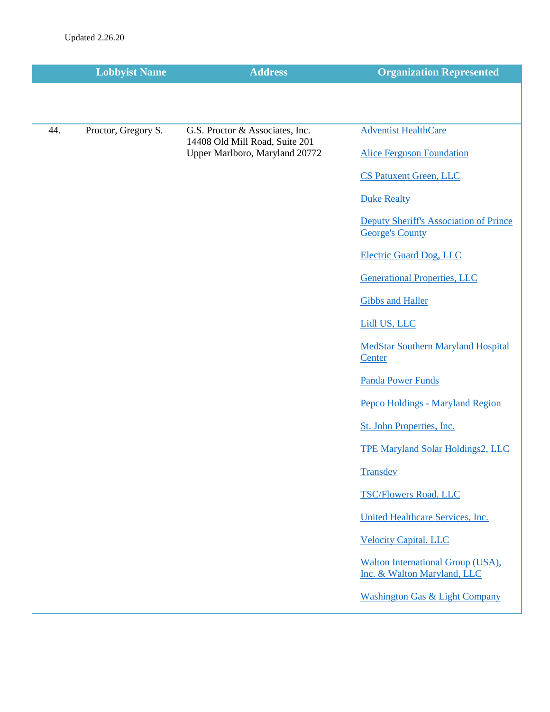|     | <b>Lobbyist Name</b> | <b>Address</b>                                                   | <b>Organization Represented</b>                                  |
|-----|----------------------|------------------------------------------------------------------|------------------------------------------------------------------|
|     |                      |                                                                  |                                                                  |
| 44. | Proctor, Gregory S.  | G.S. Proctor & Associates, Inc.                                  | <b>Adventist HealthCare</b>                                      |
|     |                      | 14408 Old Mill Road, Suite 201<br>Upper Marlboro, Maryland 20772 | <b>Alice Ferguson Foundation</b>                                 |
|     |                      |                                                                  | <b>CS Patuxent Green, LLC</b>                                    |
|     |                      |                                                                  |                                                                  |
|     |                      |                                                                  | <b>Duke Realty</b>                                               |
|     |                      |                                                                  | Deputy Sheriff's Association of Prince<br><b>George's County</b> |
|     |                      |                                                                  | <b>Electric Guard Dog, LLC</b>                                   |
|     |                      |                                                                  | <b>Generational Properties, LLC</b>                              |
|     |                      |                                                                  | <b>Gibbs and Haller</b>                                          |
|     |                      |                                                                  | Lidl US, LLC                                                     |
|     |                      |                                                                  | <b>MedStar Southern Maryland Hospital</b><br>Center              |
|     |                      |                                                                  | <b>Panda Power Funds</b>                                         |
|     |                      |                                                                  | Pepco Holdings - Maryland Region                                 |
|     |                      |                                                                  | St. John Properties, Inc.                                        |
|     |                      |                                                                  | TPE Maryland Solar Holdings2, LLC                                |
|     |                      |                                                                  | Transdev                                                         |
|     |                      |                                                                  | <b>TSC/Flowers Road, LLC</b>                                     |
|     |                      |                                                                  | United Healthcare Services, Inc.                                 |
|     |                      |                                                                  | <b>Velocity Capital, LLC</b>                                     |
|     |                      |                                                                  | Walton International Group (USA),<br>Inc. & Walton Maryland, LLC |
|     |                      |                                                                  | <b>Washington Gas &amp; Light Company</b>                        |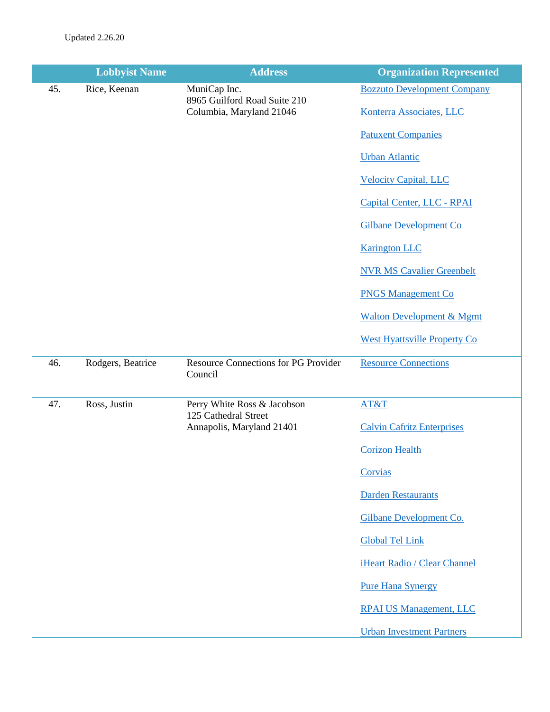|     | <b>Lobbyist Name</b> | <b>Address</b>                                                           | <b>Organization Represented</b>      |
|-----|----------------------|--------------------------------------------------------------------------|--------------------------------------|
| 45. | Rice, Keenan         | MuniCap Inc.<br>8965 Guilford Road Suite 210<br>Columbia, Maryland 21046 | <b>Bozzuto Development Company</b>   |
|     |                      |                                                                          | Konterra Associates, LLC             |
|     |                      |                                                                          | <b>Patuxent Companies</b>            |
|     |                      |                                                                          | <b>Urban Atlantic</b>                |
|     |                      |                                                                          | <b>Velocity Capital, LLC</b>         |
|     |                      |                                                                          | Capital Center, LLC - RPAI           |
|     |                      |                                                                          | <b>Gilbane Development Co</b>        |
|     |                      |                                                                          | <b>Karington LLC</b>                 |
|     |                      |                                                                          | <b>NVR MS Cavalier Greenbelt</b>     |
|     |                      |                                                                          | <b>PNGS Management Co</b>            |
|     |                      |                                                                          | <b>Walton Development &amp; Mgmt</b> |
|     |                      |                                                                          | <b>West Hyattsville Property Co</b>  |
| 46. | Rodgers, Beatrice    | <b>Resource Connections for PG Provider</b><br>Council                   | <b>Resource Connections</b>          |
| 47. | Ross, Justin         | Perry White Ross & Jacobson                                              | AT&T                                 |
|     |                      | 125 Cathedral Street<br>Annapolis, Maryland 21401                        | <b>Calvin Cafritz Enterprises</b>    |
|     |                      |                                                                          | <b>Corizon Health</b>                |
|     |                      |                                                                          | Corvias                              |
|     |                      |                                                                          | <b>Darden Restaurants</b>            |
|     |                      |                                                                          | Gilbane Development Co.              |
|     |                      |                                                                          | <b>Global Tel Link</b>               |
|     |                      |                                                                          | iHeart Radio / Clear Channel         |
|     |                      |                                                                          | <b>Pure Hana Synergy</b>             |
|     |                      |                                                                          | <b>RPAI US Management, LLC</b>       |
|     |                      |                                                                          | <b>Urban Investment Partners</b>     |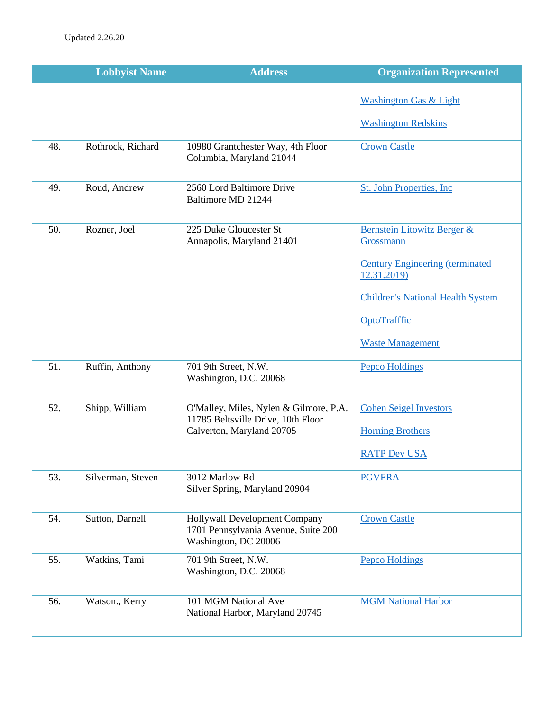|     | <b>Lobbyist Name</b> | <b>Address</b>                                                                               | <b>Organization Represented</b>                        |
|-----|----------------------|----------------------------------------------------------------------------------------------|--------------------------------------------------------|
|     |                      |                                                                                              | <b>Washington Gas &amp; Light</b>                      |
|     |                      |                                                                                              | <b>Washington Redskins</b>                             |
| 48. | Rothrock, Richard    | 10980 Grantchester Way, 4th Floor<br>Columbia, Maryland 21044                                | <b>Crown Castle</b>                                    |
| 49. | Roud, Andrew         | 2560 Lord Baltimore Drive<br>Baltimore MD 21244                                              | <b>St. John Properties, Inc.</b>                       |
| 50. | Rozner, Joel         | 225 Duke Gloucester St<br>Annapolis, Maryland 21401                                          | Bernstein Litowitz Berger &<br>Grossmann               |
|     |                      |                                                                                              | <b>Century Engineering (terminated)</b><br>12.31.2019) |
|     |                      |                                                                                              | <b>Children's National Health System</b>               |
|     |                      |                                                                                              | OptoTrafffic                                           |
|     |                      |                                                                                              | <b>Waste Management</b>                                |
| 51. | Ruffin, Anthony      | 701 9th Street, N.W.<br>Washington, D.C. 20068                                               | <b>Pepco Holdings</b>                                  |
| 52. | Shipp, William       | O'Malley, Miles, Nylen & Gilmore, P.A.                                                       | <b>Cohen Seigel Investors</b>                          |
|     |                      | 11785 Beltsville Drive, 10th Floor<br>Calverton, Maryland 20705                              | <b>Horning Brothers</b>                                |
|     |                      |                                                                                              | <b>RATP Dev USA</b>                                    |
| 53. | Silverman, Steven    | 3012 Marlow Rd<br>Silver Spring, Maryland 20904                                              | <b>PGVFRA</b>                                          |
| 54. | Sutton, Darnell      | Hollywall Development Company<br>1701 Pennsylvania Avenue, Suite 200<br>Washington, DC 20006 | <b>Crown Castle</b>                                    |
| 55. | Watkins, Tami        | 701 9th Street, N.W.<br>Washington, D.C. 20068                                               | <b>Pepco Holdings</b>                                  |
| 56. | Watson., Kerry       | 101 MGM National Ave<br>National Harbor, Maryland 20745                                      | <b>MGM National Harbor</b>                             |